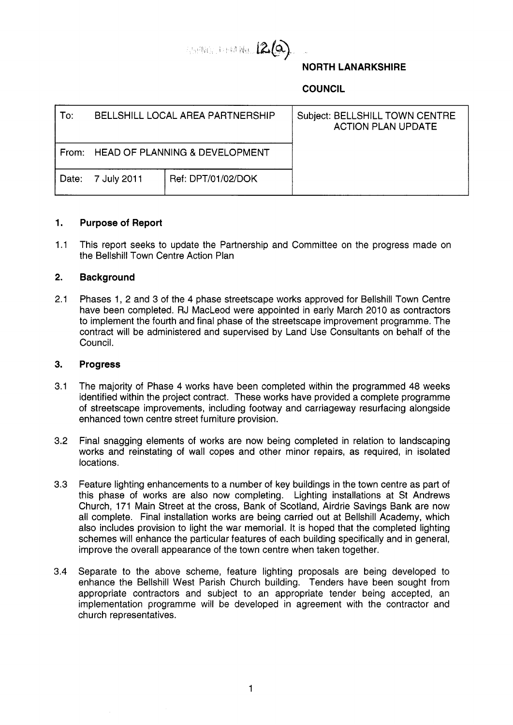

# **NORTH LANARKSHIRE**

**COUNCIL** 

| To:   | BELLSHILL LOCAL AREA PARTNERSHIP |                                | Subject: BELLSHILL TOWN CENTRE<br><b>ACTION PLAN UPDATE</b> |
|-------|----------------------------------|--------------------------------|-------------------------------------------------------------|
| From: |                                  | HEAD OF PLANNING & DEVELOPMENT |                                                             |
| Date: | 7 July 2011                      | Ref: DPT/01/02/DOK             |                                                             |

## **1. Purpose of Report**

1.1 This report seeks to update the Partnership and Committee on the progress made on the Bellshill Town Centre Action Plan

## **2. Background**

2.1 Phases 1, 2 and 3 of the 4 phase streetscape works approved for Bellshill Town Centre have been completed. RJ MacLeod were appointed in early March 2010 as contractors to implement the fourth and final phase of the streetscape improvement programme. The contract will be administered and supervised by Land Use Consultants on behalf of the Council.

#### **3. Progress**

- 3.1 The majority of Phase 4 works have been completed within the programmed 48 weeks identified within the project contract. These works have provided a complete programme of streetscape improvements, including footway and carriageway resurfacing alongside enhanced town centre street furniture provision.
- 3.2 Final snagging elements of works are now being completed in relation to landscaping works and reinstating of wall copes and other minor repairs, as required, in isolated locations.
- 3.3 Feature lighting enhancements to a number of key buildings in the town centre as part of this phase of works are also now completing. Lighting installations at St Andrews Church, 171 Main Street at the cross, Bank of Scotland, Airdrie Savings Bank are now all complete. Final installation works are being carried out at Bellshill Academy, which also includes provision to light the war memorial. It is hoped that the completed lighting schemes will enhance the particular features of each building specifically and in general, improve the overall appearance of the town centre when taken together.
- 3.4 Separate to the above scheme, feature lighting proposals are being developed to enhance the Bellshill West Parish Church building. Tenders have been sought from appropriate contractors and subject to an appropriate tender being accepted, an implementation programme will be developed in agreement with the contractor and church representatives.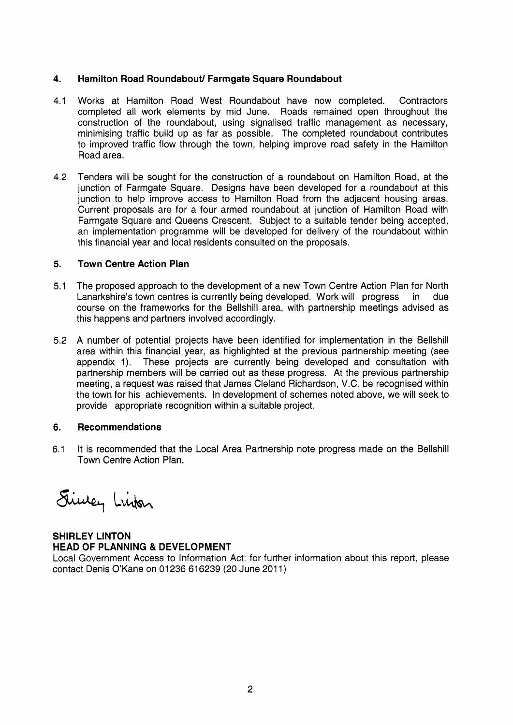# **4. Hamilton Road Roundabout/ Farmgate Square Roundabout**

- **4.1**  Works at Hamilton Road West Roundabout have now completed. Contractors completed all work elements by mid June. Roads remained open throughout the construction of the roundabout, using signalised traffic management as necessary, minimising traffic build up as far as possible. The completed roundabout contributes to improved traffic flow through the town, helping improve road safety in the Hamilton Road area.
- 4.2 Tenders will be sought for the construction of a roundabout on Hamilton Road, at the junction of Farmgate Square. Designs have been developed for a roundabout at this junction to help improve access to Hamilton Road from the adjacent housing areas. Current proposals are for a four armed roundabout at junction of Hamilton Road with Farmgate Square and Queens Crescent. Subject to a suitable tender being accepted, an implementation programme will be developed for delivery of the roundabout within this financial year and local residents consulted on the proposals.

# **5. Town Centre Action Plan**

- 5.1 The proposed approach to the development of a new Town Centre Action Plan for North Lanarkshire's town centres is currently being developed. Work will progress in due course on the frameworks for the Bellshill area, with partnership meetings advised as this happens and partners involved accordingly.
- 5.2 A number of potential projects have been identified for implementation in the Bellshill area within this financial year, as highlighted at the previous partnership meeting (see appendix 1). These projects are currently being developed and consultation with partnership members will be carried out as these progress. At the previous partnership meeting, a request was raised that James Cleland Richardson, V.C. be recognised within the town for his achievements. In development of schemes noted above, we will seek to provide appropriate recognition within a suitable project.

#### **6. Recommendations**

6.1 It is recommended that the Local Area Partnership note progress made on the Bellshill Town Centre Action Plan.

Finney Linker

**SHIRLEY LINTON HEAD OF PLANNING** & **DEVELOPMENT** 

Local Government Access to Information Act: for further information about this report, please contact Denis O'Kane on 01236 616239 (20 June 201 1)